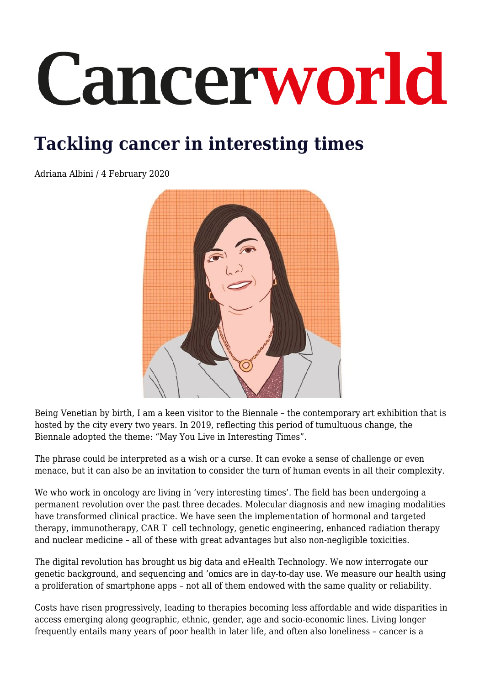## Cancerworld

## **Tackling cancer in interesting times**

Adriana Albini / 4 February 2020



Being Venetian by birth, I am a keen visitor to the Biennale – the contemporary art exhibition that is hosted by the city every two years. In 2019, reflecting this period of tumultuous change, the Biennale adopted the theme: "May You Live in Interesting Times".

The phrase could be interpreted as a wish or a curse. It can evoke a sense of challenge or even menace, but it can also be an invitation to consider the turn of human events in all their complexity.

We who work in oncology are living in 'very interesting times'. The field has been undergoing a permanent revolution over the past three decades. Molecular diagnosis and new imaging modalities have transformed clinical practice. We have seen the implementation of hormonal and targeted therapy, immunotherapy, CAR T cell technology, genetic engineering, enhanced radiation therapy and nuclear medicine – all of these with great advantages but also non-negligible toxicities.

The digital revolution has brought us big data and eHealth Technology. We now interrogate our genetic background, and sequencing and 'omics are in day-to-day use. We measure our health using a proliferation of smartphone apps – not all of them endowed with the same quality or reliability.

Costs have risen progressively, leading to therapies becoming less affordable and wide disparities in access emerging along geographic, ethnic, gender, age and socio-economic lines. Living longer frequently entails many years of poor health in later life, and often also loneliness – cancer is a